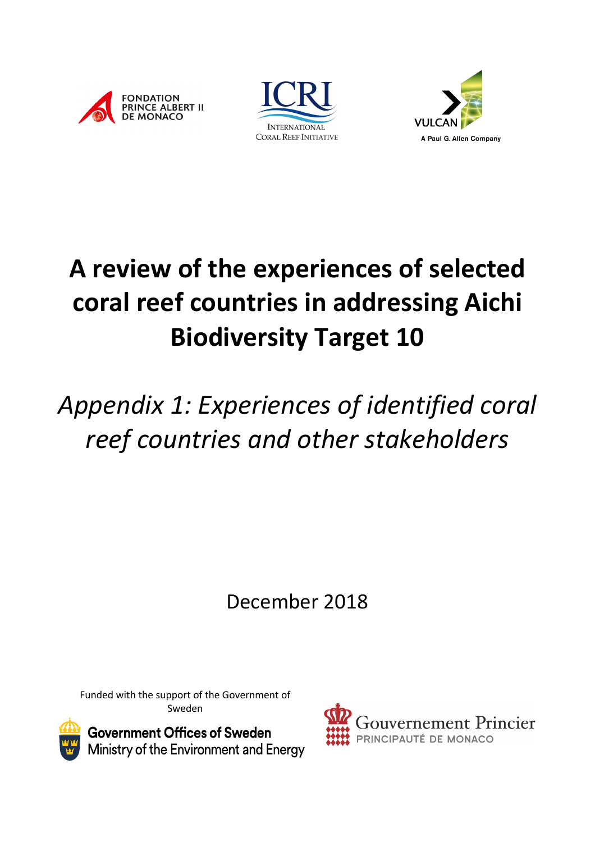





# **A review of the experiences of selected coral reef countries in addressing Aichi Biodiversity Target 10**

# *Appendix 1: Experiences of identified coral reef countries and other stakeholders*

December 2018

Funded with the support of the Government of Sweden



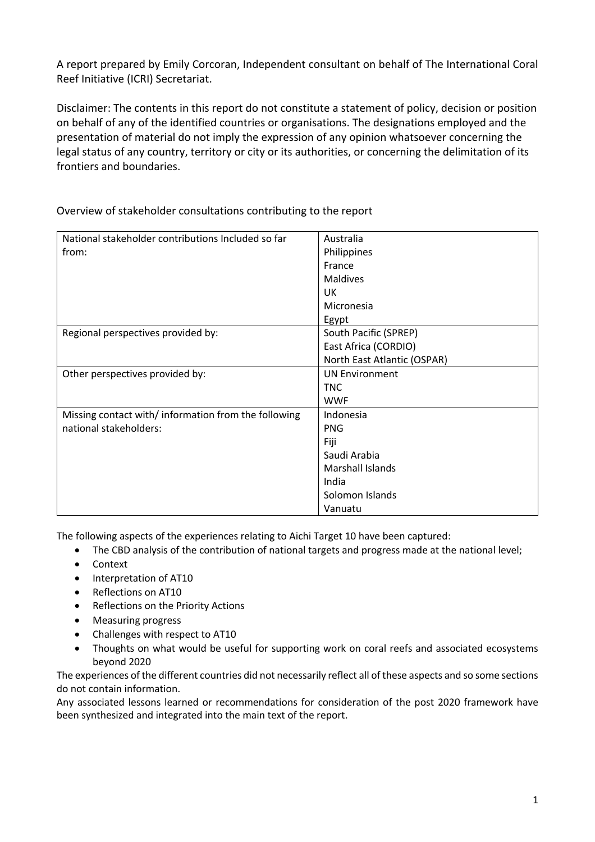A report prepared by Emily Corcoran, Independent consultant on behalf of The International Coral Reef Initiative (ICRI) Secretariat.

Disclaimer: The contents in this report do not constitute a statement of policy, decision or position on behalf of any of the identified countries or organisations. The designations employed and the presentation of material do not imply the expression of any opinion whatsoever concerning the legal status of any country, territory or city or its authorities, or concerning the delimitation of its frontiers and boundaries.

| National stakeholder contributions Included so far  | Australia                   |
|-----------------------------------------------------|-----------------------------|
| from:                                               | Philippines                 |
|                                                     | France                      |
|                                                     | <b>Maldives</b>             |
|                                                     | UK                          |
|                                                     | Micronesia                  |
|                                                     | Egypt                       |
| Regional perspectives provided by:                  | South Pacific (SPREP)       |
|                                                     | East Africa (CORDIO)        |
|                                                     | North East Atlantic (OSPAR) |
| Other perspectives provided by:                     | <b>UN Environment</b>       |
|                                                     | <b>TNC</b>                  |
|                                                     | <b>WWF</b>                  |
| Missing contact with/information from the following | Indonesia                   |
| national stakeholders:                              | <b>PNG</b>                  |
|                                                     | Fiji                        |
|                                                     | Saudi Arabia                |
|                                                     | Marshall Islands            |
|                                                     | India                       |
|                                                     | Solomon Islands             |
|                                                     | Vanuatu                     |

Overview of stakeholder consultations contributing to the report

The following aspects of the experiences relating to Aichi Target 10 have been captured:

- The CBD analysis of the contribution of national targets and progress made at the national level;
- Context
- Interpretation of AT10
- Reflections on AT10
- Reflections on the Priority Actions
- Measuring progress
- Challenges with respect to AT10
- Thoughts on what would be useful for supporting work on coral reefs and associated ecosystems beyond 2020

The experiences of the different countries did not necessarily reflect all of these aspects and so some sections do not contain information.

Any associated lessons learned or recommendations for consideration of the post 2020 framework have been synthesized and integrated into the main text of the report.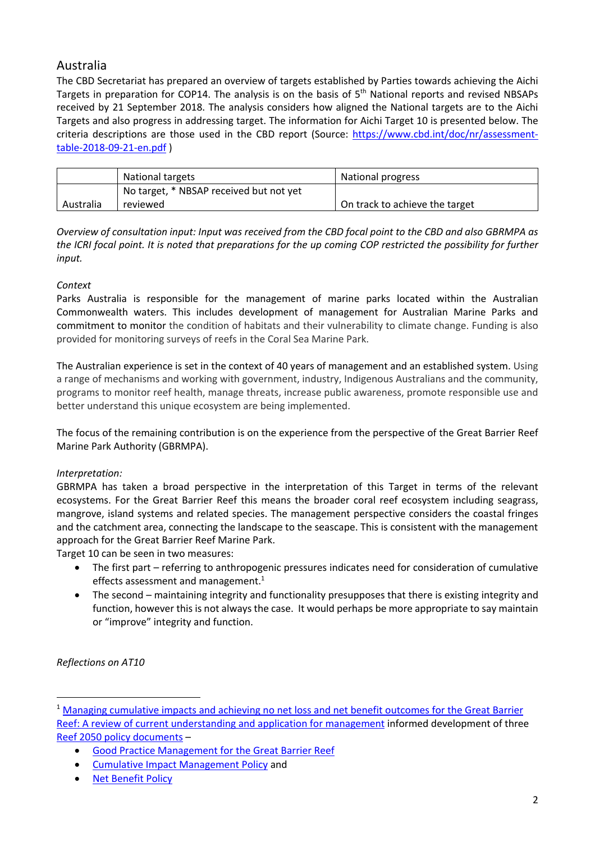# Australia

The CBD Secretariat has prepared an overview of targets established by Parties towards achieving the Aichi Targets in preparation for COP14. The analysis is on the basis of 5<sup>th</sup> National reports and revised NBSAPs received by 21 September 2018. The analysis considers how aligned the National targets are to the Aichi Targets and also progress in addressing target. The information for Aichi Target 10 is presented below. The criteria descriptions are those used in the CBD report (Source: https://www.cbd.int/doc/nr/assessmenttable-2018-09-21-en.pdf )

|           | National targets                        | National progress              |
|-----------|-----------------------------------------|--------------------------------|
|           | No target, * NBSAP received but not yet |                                |
| Australia | reviewed                                | On track to achieve the target |

*Overview of consultation input: Input was received from the CBD focal point to the CBD and also GBRMPA as the ICRI focal point. It is noted that preparations for the up coming COP restricted the possibility for further input.* 

## *Context*

Parks Australia is responsible for the management of marine parks located within the Australian Commonwealth waters. This includes development of management for Australian Marine Parks and commitment to monitor the condition of habitats and their vulnerability to climate change. Funding is also provided for monitoring surveys of reefs in the Coral Sea Marine Park.

The Australian experience is set in the context of 40 years of management and an established system. Using a range of mechanisms and working with government, industry, Indigenous Australians and the community, programs to monitor reef health, manage threats, increase public awareness, promote responsible use and better understand this unique ecosystem are being implemented.

The focus of the remaining contribution is on the experience from the perspective of the Great Barrier Reef Marine Park Authority (GBRMPA).

## *Interpretation:*

GBRMPA has taken a broad perspective in the interpretation of this Target in terms of the relevant ecosystems. For the Great Barrier Reef this means the broader coral reef ecosystem including seagrass, mangrove, island systems and related species. The management perspective considers the coastal fringes and the catchment area, connecting the landscape to the seascape. This is consistent with the management approach for the Great Barrier Reef Marine Park.

Target 10 can be seen in two measures:

- The first part referring to anthropogenic pressures indicates need for consideration of cumulative effects assessment and management.<sup>1</sup>
- The second maintaining integrity and functionality presupposes that there is existing integrity and function, however this is not always the case. It would perhaps be more appropriate to say maintain or "improve" integrity and function.

*Reflections on AT10*

 

<sup>&</sup>lt;sup>1</sup> Managing cumulative impacts and achieving no net loss and net benefit outcomes for the Great Barrier Reef: A review of current understanding and application for management informed development of three Reef 2050 policy documents –

<sup>•</sup> Good Practice Management for the Great Barrier Reef

<sup>•</sup> Cumulative Impact Management Policy and

<sup>•</sup> Net Benefit Policy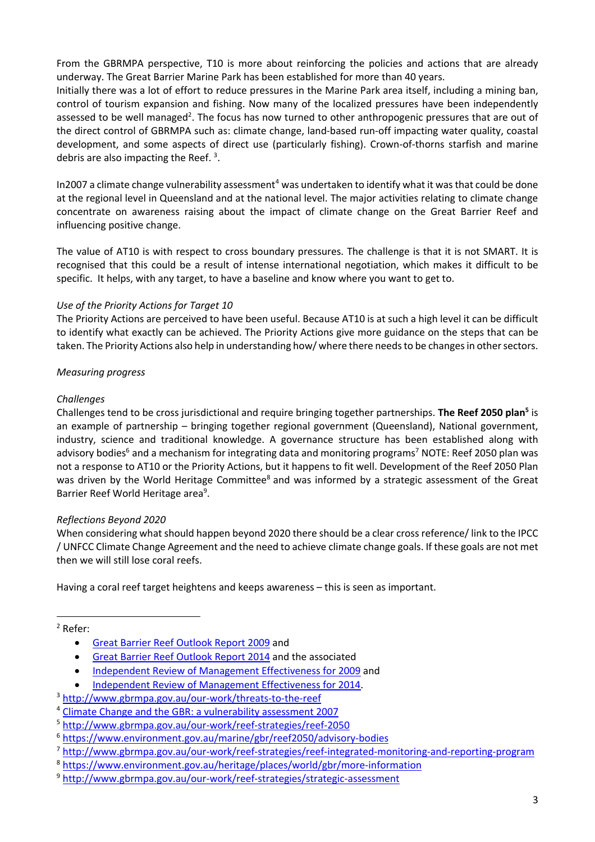From the GBRMPA perspective, T10 is more about reinforcing the policies and actions that are already underway. The Great Barrier Marine Park has been established for more than 40 years.

Initially there was a lot of effort to reduce pressures in the Marine Park area itself, including a mining ban, control of tourism expansion and fishing. Now many of the localized pressures have been independently assessed to be well managed<sup>2</sup>. The focus has now turned to other anthropogenic pressures that are out of the direct control of GBRMPA such as: climate change, land-based run-off impacting water quality, coastal development, and some aspects of direct use (particularly fishing). Crown-of-thorns starfish and marine debris are also impacting the Reef.<sup>3</sup>.

In2007 a climate change vulnerability assessment<sup>4</sup> was undertaken to identify what it was that could be done at the regional level in Queensland and at the national level. The major activities relating to climate change concentrate on awareness raising about the impact of climate change on the Great Barrier Reef and influencing positive change.

The value of AT10 is with respect to cross boundary pressures. The challenge is that it is not SMART. It is recognised that this could be a result of intense international negotiation, which makes it difficult to be specific. It helps, with any target, to have a baseline and know where you want to get to.

#### *Use of the Priority Actions for Target 10*

The Priority Actions are perceived to have been useful. Because AT10 is at such a high level it can be difficult to identify what exactly can be achieved. The Priority Actions give more guidance on the steps that can be taken. The Priority Actions also help in understanding how/ where there needs to be changes in other sectors.

#### *Measuring progress*

#### *Challenges*

Challenges tend to be cross jurisdictional and require bringing together partnerships. **The Reef 2050 plan5** is an example of partnership – bringing together regional government (Queensland), National government, industry, science and traditional knowledge. A governance structure has been established along with advisory bodies<sup>6</sup> and a mechanism for integrating data and monitoring programs<sup>7</sup> NOTE: Reef 2050 plan was not a response to AT10 or the Priority Actions, but it happens to fit well. Development of the Reef 2050 Plan was driven by the World Heritage Committee<sup>8</sup> and was informed by a strategic assessment of the Great Barrier Reef World Heritage area<sup>9</sup>.

#### *Reflections Beyond 2020*

 

When considering what should happen beyond 2020 there should be a clear cross reference/ link to the IPCC / UNFCC Climate Change Agreement and the need to achieve climate change goals. If these goals are not met then we will still lose coral reefs.

Having a coral reef target heightens and keeps awareness – this is seen as important.

- Great Barrier Reef Outlook Report 2014 and the associated
- Independent Review of Management Effectiveness for 2009 and
- Independent Review of Management Effectiveness for 2014.
- <sup>3</sup> http://www.gbrmpa.gov.au/our-work/threats-to-the-reef
- <sup>4</sup> Climate Change and the GBR: a vulnerability assessment 2007
- <sup>5</sup> http://www.gbrmpa.gov.au/our-work/reef-strategies/reef-2050
- <sup>6</sup> https://www.environment.gov.au/marine/gbr/reef2050/advisory-bodies
- <sup>7</sup> http://www.gbrmpa.gov.au/our-work/reef-strategies/reef-integrated-monitoring-and-reporting-program
- <sup>8</sup> https://www.environment.gov.au/heritage/places/world/gbr/more-information
- <sup>9</sup> http://www.gbrmpa.gov.au/our-work/reef-strategies/strategic-assessment

<sup>2</sup> Refer:

<sup>•</sup> Great Barrier Reef Outlook Report 2009 and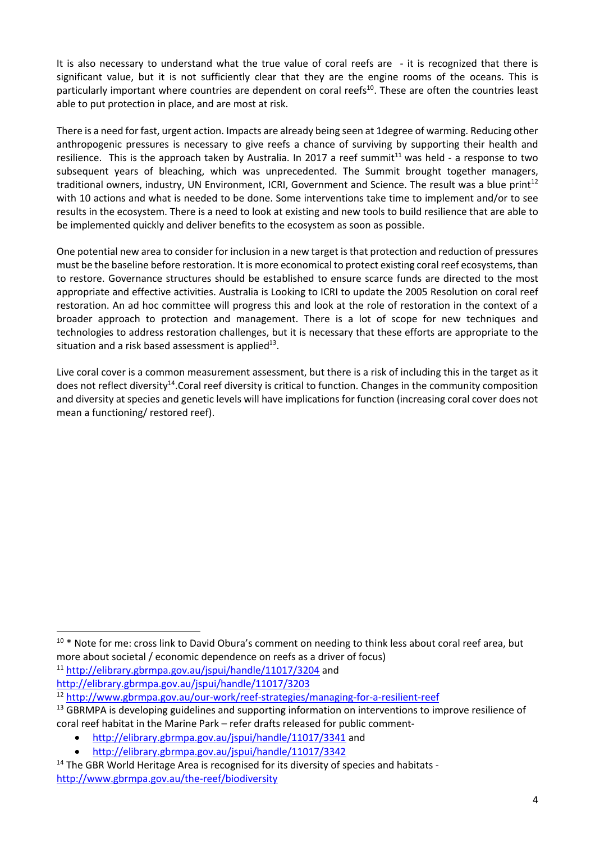It is also necessary to understand what the true value of coral reefs are - it is recognized that there is significant value, but it is not sufficiently clear that they are the engine rooms of the oceans. This is particularly important where countries are dependent on coral reefs<sup>10</sup>. These are often the countries least able to put protection in place, and are most at risk.

There is a need for fast, urgent action. Impacts are already being seen at 1degree of warming. Reducing other anthropogenic pressures is necessary to give reefs a chance of surviving by supporting their health and resilience. This is the approach taken by Australia. In 2017 a reef summit $<sup>11</sup>$  was held - a response to two</sup> subsequent years of bleaching, which was unprecedented. The Summit brought together managers, traditional owners, industry, UN Environment, ICRI, Government and Science. The result was a blue print<sup>12</sup> with 10 actions and what is needed to be done. Some interventions take time to implement and/or to see results in the ecosystem. There is a need to look at existing and new tools to build resilience that are able to be implemented quickly and deliver benefits to the ecosystem as soon as possible.

One potential new area to consider for inclusion in a new target is that protection and reduction of pressures must be the baseline before restoration. It is more economical to protect existing coral reef ecosystems, than to restore. Governance structures should be established to ensure scarce funds are directed to the most appropriate and effective activities. Australia is Looking to ICRI to update the 2005 Resolution on coral reef restoration. An ad hoc committee will progress this and look at the role of restoration in the context of a broader approach to protection and management. There is a lot of scope for new techniques and technologies to address restoration challenges, but it is necessary that these efforts are appropriate to the situation and a risk based assessment is applied $13$ .

Live coral cover is a common measurement assessment, but there is a risk of including this in the target as it does not reflect diversity<sup>14</sup>. Coral reef diversity is critical to function. Changes in the community composition and diversity at species and genetic levels will have implications for function (increasing coral cover does not mean a functioning/ restored reef).

<sup>11</sup> http://elibrary.gbrmpa.gov.au/jspui/handle/11017/3204 and http://elibrary.gbrmpa.gov.au/jspui/handle/11017/3203

 

<sup>&</sup>lt;sup>10</sup> \* Note for me: cross link to David Obura's comment on needing to think less about coral reef area, but more about societal / economic dependence on reefs as a driver of focus)

<sup>12</sup> http://www.gbrmpa.gov.au/our-work/reef-strategies/managing-for-a-resilient-reef

<sup>&</sup>lt;sup>13</sup> GBRMPA is developing guidelines and supporting information on interventions to improve resilience of coral reef habitat in the Marine Park – refer drafts released for public comment-

<sup>•</sup> http://elibrary.gbrmpa.gov.au/jspui/handle/11017/3341 and

<sup>•</sup> http://elibrary.gbrmpa.gov.au/jspui/handle/11017/3342

<sup>&</sup>lt;sup>14</sup> The GBR World Heritage Area is recognised for its diversity of species and habitats http://www.gbrmpa.gov.au/the-reef/biodiversity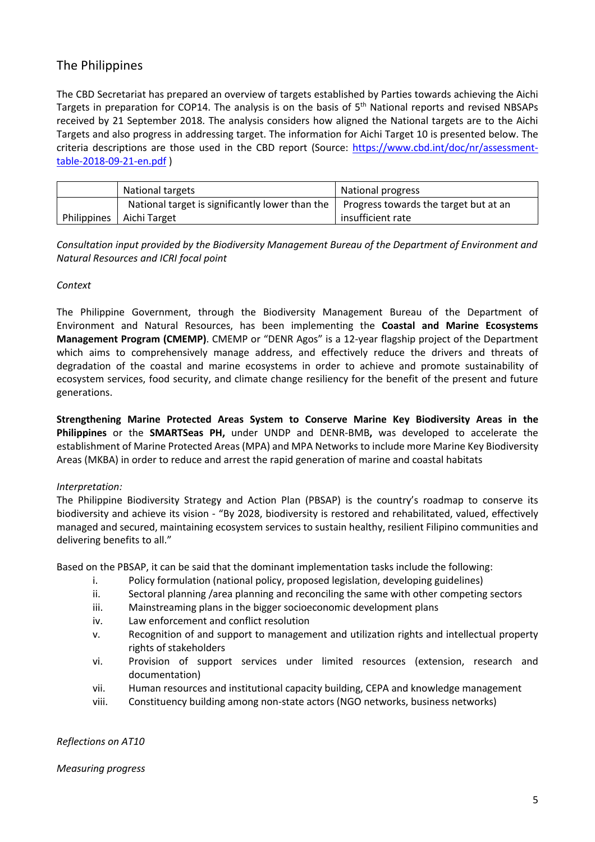# The Philippines

The CBD Secretariat has prepared an overview of targets established by Parties towards achieving the Aichi Targets in preparation for COP14. The analysis is on the basis of 5<sup>th</sup> National reports and revised NBSAPs received by 21 September 2018. The analysis considers how aligned the National targets are to the Aichi Targets and also progress in addressing target. The information for Aichi Target 10 is presented below. The criteria descriptions are those used in the CBD report (Source: https://www.cbd.int/doc/nr/assessmenttable-2018-09-21-en.pdf )

| National targets                                | National progress                     |
|-------------------------------------------------|---------------------------------------|
| National target is significantly lower than the | Progress towards the target but at an |
| Philippines   Aichi Target                      | insufficient rate                     |

*Consultation input provided by the Biodiversity Management Bureau of the Department of Environment and Natural Resources and ICRI focal point*

#### *Context*

The Philippine Government, through the Biodiversity Management Bureau of the Department of Environment and Natural Resources, has been implementing the **Coastal and Marine Ecosystems Management Program (CMEMP)**. CMEMP or "DENR Agos" is a 12-year flagship project of the Department which aims to comprehensively manage address, and effectively reduce the drivers and threats of degradation of the coastal and marine ecosystems in order to achieve and promote sustainability of ecosystem services, food security, and climate change resiliency for the benefit of the present and future generations.

**Strengthening Marine Protected Areas System to Conserve Marine Key Biodiversity Areas in the Philippines** or the **SMARTSeas PH,** under UNDP and DENR-BMB**,** was developed to accelerate the establishment of Marine Protected Areas (MPA) and MPA Networks to include more Marine Key Biodiversity Areas (MKBA) in order to reduce and arrest the rapid generation of marine and coastal habitats

#### *Interpretation:*

The Philippine Biodiversity Strategy and Action Plan (PBSAP) is the country's roadmap to conserve its biodiversity and achieve its vision - "By 2028, biodiversity is restored and rehabilitated, valued, effectively managed and secured, maintaining ecosystem services to sustain healthy, resilient Filipino communities and delivering benefits to all."

Based on the PBSAP, it can be said that the dominant implementation tasks include the following:

- i. Policy formulation (national policy, proposed legislation, developing guidelines)
- ii. Sectoral planning /area planning and reconciling the same with other competing sectors
- iii. Mainstreaming plans in the bigger socioeconomic development plans
- iv. Law enforcement and conflict resolution
- v. Recognition of and support to management and utilization rights and intellectual property rights of stakeholders
- vi. Provision of support services under limited resources (extension, research and documentation)
- vii. Human resources and institutional capacity building, CEPA and knowledge management
- viii. Constituency building among non-state actors (NGO networks, business networks)

*Reflections on AT10*

*Measuring progress*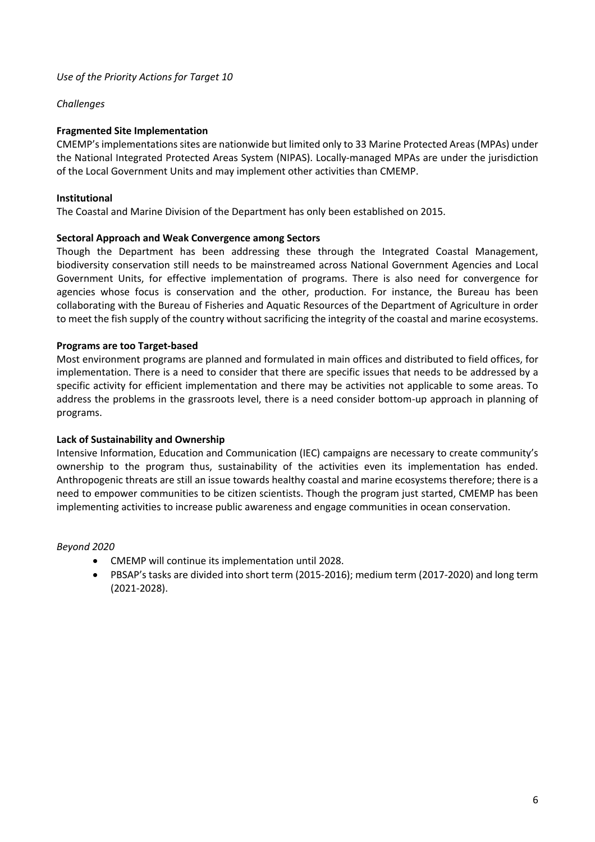#### *Challenges*

#### **Fragmented Site Implementation**

CMEMP's implementations sites are nationwide but limited only to 33 Marine Protected Areas (MPAs) under the National Integrated Protected Areas System (NIPAS). Locally-managed MPAs are under the jurisdiction of the Local Government Units and may implement other activities than CMEMP.

#### **Institutional**

The Coastal and Marine Division of the Department has only been established on 2015.

#### **Sectoral Approach and Weak Convergence among Sectors**

Though the Department has been addressing these through the Integrated Coastal Management, biodiversity conservation still needs to be mainstreamed across National Government Agencies and Local Government Units, for effective implementation of programs. There is also need for convergence for agencies whose focus is conservation and the other, production. For instance, the Bureau has been collaborating with the Bureau of Fisheries and Aquatic Resources of the Department of Agriculture in order to meet the fish supply of the country without sacrificing the integrity of the coastal and marine ecosystems.

#### **Programs are too Target-based**

Most environment programs are planned and formulated in main offices and distributed to field offices, for implementation. There is a need to consider that there are specific issues that needs to be addressed by a specific activity for efficient implementation and there may be activities not applicable to some areas. To address the problems in the grassroots level, there is a need consider bottom-up approach in planning of programs.

#### **Lack of Sustainability and Ownership**

Intensive Information, Education and Communication (IEC) campaigns are necessary to create community's ownership to the program thus, sustainability of the activities even its implementation has ended. Anthropogenic threats are still an issue towards healthy coastal and marine ecosystems therefore; there is a need to empower communities to be citizen scientists. Though the program just started, CMEMP has been implementing activities to increase public awareness and engage communities in ocean conservation.

#### *Beyond 2020*

- CMEMP will continue its implementation until 2028.
- PBSAP's tasks are divided into short term (2015-2016); medium term (2017-2020) and long term (2021-2028).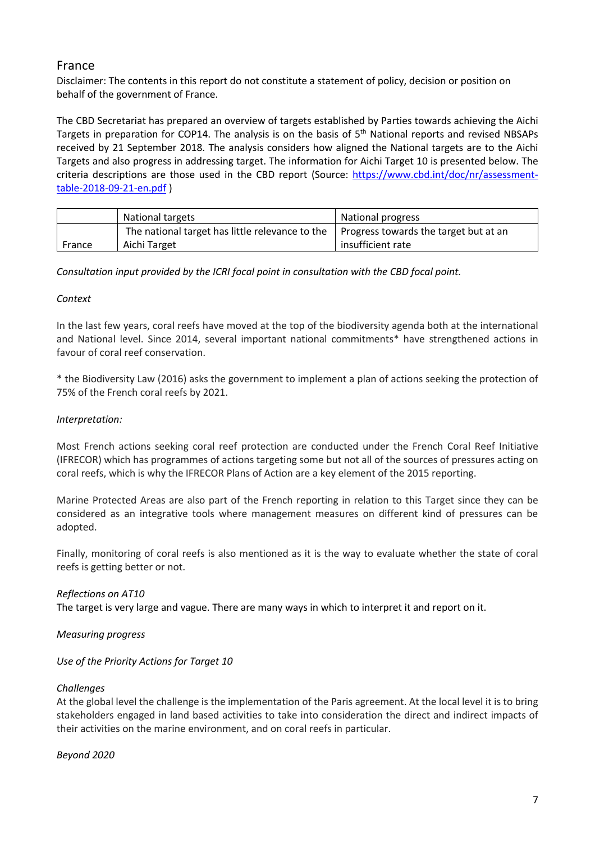# France

Disclaimer: The contents in this report do not constitute a statement of policy, decision or position on behalf of the government of France.

The CBD Secretariat has prepared an overview of targets established by Parties towards achieving the Aichi Targets in preparation for COP14. The analysis is on the basis of  $5<sup>th</sup>$  National reports and revised NBSAPs received by 21 September 2018. The analysis considers how aligned the National targets are to the Aichi Targets and also progress in addressing target. The information for Aichi Target 10 is presented below. The criteria descriptions are those used in the CBD report (Source: https://www.cbd.int/doc/nr/assessmenttable-2018-09-21-en.pdf )

|        | National targets                                                                                  | National progress |
|--------|---------------------------------------------------------------------------------------------------|-------------------|
|        | The national target has little relevance to the $\parallel$ Progress towards the target but at an |                   |
| France | Aichi Target                                                                                      | insufficient rate |

*Consultation input provided by the ICRI focal point in consultation with the CBD focal point.*

#### *Context*

In the last few years, coral reefs have moved at the top of the biodiversity agenda both at the international and National level. Since 2014, several important national commitments\* have strengthened actions in favour of coral reef conservation.

\* the Biodiversity Law (2016) asks the government to implement a plan of actions seeking the protection of 75% of the French coral reefs by 2021.

#### *Interpretation:*

Most French actions seeking coral reef protection are conducted under the French Coral Reef Initiative (IFRECOR) which has programmes of actions targeting some but not all of the sources of pressures acting on coral reefs, which is why the IFRECOR Plans of Action are a key element of the 2015 reporting.

Marine Protected Areas are also part of the French reporting in relation to this Target since they can be considered as an integrative tools where management measures on different kind of pressures can be adopted.

Finally, monitoring of coral reefs is also mentioned as it is the way to evaluate whether the state of coral reefs is getting better or not.

#### *Reflections on AT10*

The target is very large and vague. There are many ways in which to interpret it and report on it.

#### *Measuring progress*

#### *Use of the Priority Actions for Target 10*

#### *Challenges*

At the global level the challenge is the implementation of the Paris agreement. At the local level it is to bring stakeholders engaged in land based activities to take into consideration the direct and indirect impacts of their activities on the marine environment, and on coral reefs in particular.

#### *Beyond 2020*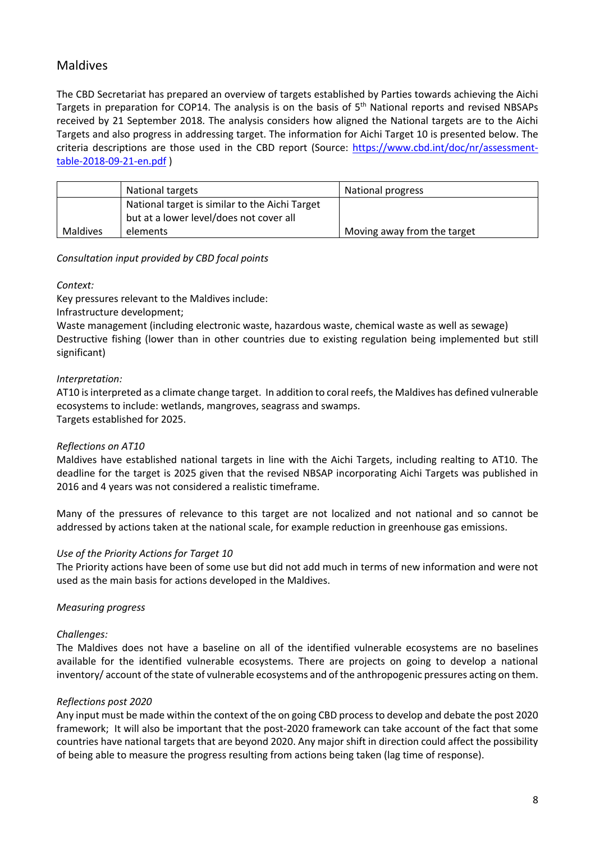# Maldives

The CBD Secretariat has prepared an overview of targets established by Parties towards achieving the Aichi Targets in preparation for COP14. The analysis is on the basis of 5<sup>th</sup> National reports and revised NBSAPs received by 21 September 2018. The analysis considers how aligned the National targets are to the Aichi Targets and also progress in addressing target. The information for Aichi Target 10 is presented below. The criteria descriptions are those used in the CBD report (Source: https://www.cbd.int/doc/nr/assessmenttable-2018-09-21-en.pdf )

|          | National targets                                                                          | National progress           |
|----------|-------------------------------------------------------------------------------------------|-----------------------------|
|          | National target is similar to the Aichi Target<br>but at a lower level/does not cover all |                             |
|          |                                                                                           |                             |
| Maldives | elements                                                                                  | Moving away from the target |

*Consultation input provided by CBD focal points*

*Context:*

Key pressures relevant to the Maldives include:

Infrastructure development;

Waste management (including electronic waste, hazardous waste, chemical waste as well as sewage) Destructive fishing (lower than in other countries due to existing regulation being implemented but still significant)

#### *Interpretation:*

AT10 is interpreted as a climate change target. In addition to coral reefs, the Maldives has defined vulnerable ecosystems to include: wetlands, mangroves, seagrass and swamps. Targets established for 2025.

#### *Reflections on AT10*

Maldives have established national targets in line with the Aichi Targets, including realting to AT10. The deadline for the target is 2025 given that the revised NBSAP incorporating Aichi Targets was published in 2016 and 4 years was not considered a realistic timeframe.

Many of the pressures of relevance to this target are not localized and not national and so cannot be addressed by actions taken at the national scale, for example reduction in greenhouse gas emissions.

#### *Use of the Priority Actions for Target 10*

The Priority actions have been of some use but did not add much in terms of new information and were not used as the main basis for actions developed in the Maldives.

#### *Measuring progress*

#### *Challenges:*

The Maldives does not have a baseline on all of the identified vulnerable ecosystems are no baselines available for the identified vulnerable ecosystems. There are projects on going to develop a national inventory/ account of the state of vulnerable ecosystems and of the anthropogenic pressures acting on them.

#### *Reflections post 2020*

Any input must be made within the context of the on going CBD process to develop and debate the post 2020 framework; It will also be important that the post-2020 framework can take account of the fact that some countries have national targets that are beyond 2020. Any major shift in direction could affect the possibility of being able to measure the progress resulting from actions being taken (lag time of response).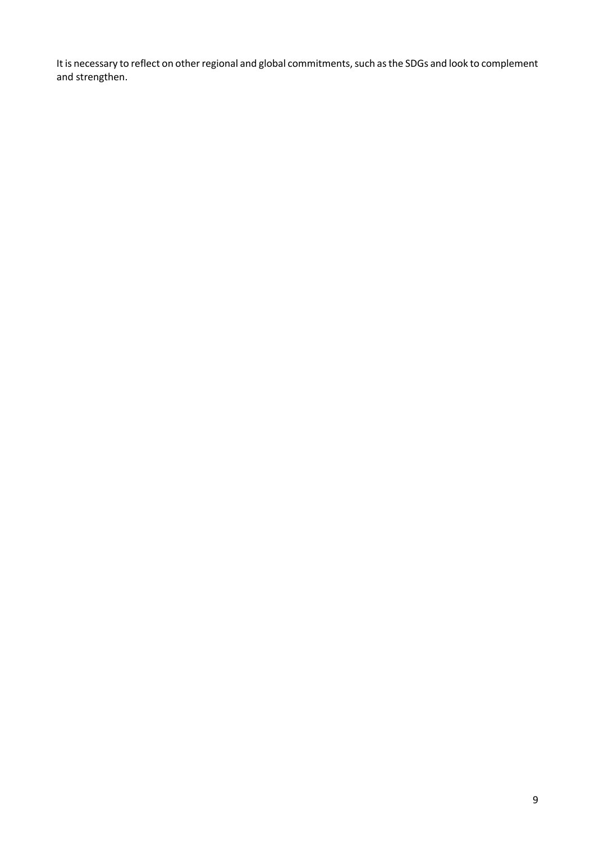It is necessary to reflect on other regional and global commitments, such as the SDGs and look to complement and strengthen.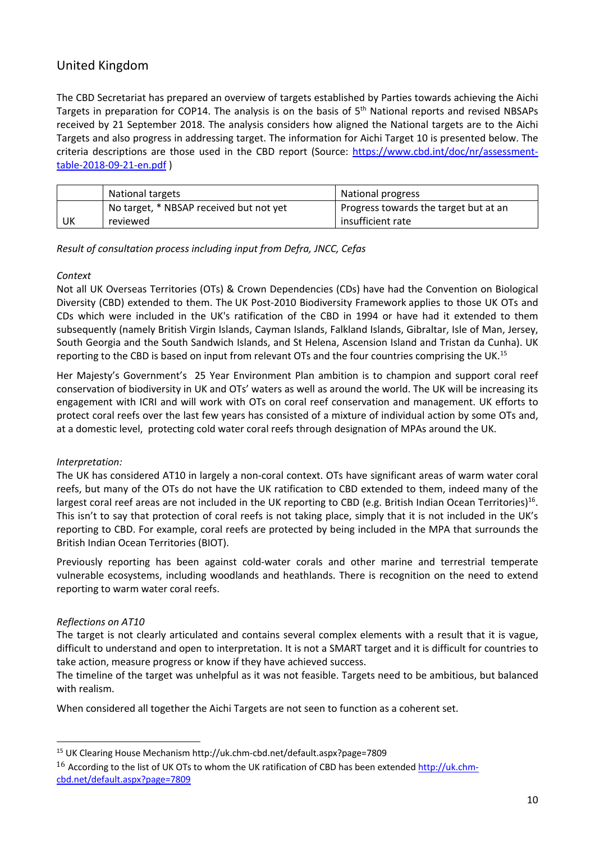# United Kingdom

The CBD Secretariat has prepared an overview of targets established by Parties towards achieving the Aichi Targets in preparation for COP14. The analysis is on the basis of 5<sup>th</sup> National reports and revised NBSAPs received by 21 September 2018. The analysis considers how aligned the National targets are to the Aichi Targets and also progress in addressing target. The information for Aichi Target 10 is presented below. The criteria descriptions are those used in the CBD report (Source: https://www.cbd.int/doc/nr/assessmenttable-2018-09-21-en.pdf )

|    | National targets                        | National progress                     |
|----|-----------------------------------------|---------------------------------------|
|    | No target, * NBSAP received but not yet | Progress towards the target but at an |
| UK | reviewed                                | insufficient rate                     |

*Result of consultation process including input from Defra, JNCC, Cefas*

#### *Context*

Not all UK Overseas Territories (OTs) & Crown Dependencies (CDs) have had the Convention on Biological Diversity (CBD) extended to them. The UK Post-2010 Biodiversity Framework applies to those UK OTs and CDs which were included in the UK's ratification of the CBD in 1994 or have had it extended to them subsequently (namely British Virgin Islands, Cayman Islands, Falkland Islands, Gibraltar, Isle of Man, Jersey, South Georgia and the South Sandwich Islands, and St Helena, Ascension Island and Tristan da Cunha). UK reporting to the CBD is based on input from relevant OTs and the four countries comprising the UK.15

Her Majesty's Government's 25 Year Environment Plan ambition is to champion and support coral reef conservation of biodiversity in UK and OTs' waters as well as around the world. The UK will be increasing its engagement with ICRI and will work with OTs on coral reef conservation and management. UK efforts to protect coral reefs over the last few years has consisted of a mixture of individual action by some OTs and, at a domestic level, protecting cold water coral reefs through designation of MPAs around the UK.

#### *Interpretation:*

The UK has considered AT10 in largely a non-coral context. OTs have significant areas of warm water coral reefs, but many of the OTs do not have the UK ratification to CBD extended to them, indeed many of the largest coral reef areas are not included in the UK reporting to CBD (e.g. British Indian Ocean Territories)<sup>16</sup>. This isn't to say that protection of coral reefs is not taking place, simply that it is not included in the UK's reporting to CBD. For example, coral reefs are protected by being included in the MPA that surrounds the British Indian Ocean Territories (BIOT).

Previously reporting has been against cold-water corals and other marine and terrestrial temperate vulnerable ecosystems, including woodlands and heathlands. There is recognition on the need to extend reporting to warm water coral reefs.

#### *Reflections on AT10*

 

The target is not clearly articulated and contains several complex elements with a result that it is vague, difficult to understand and open to interpretation. It is not a SMART target and it is difficult for countries to take action, measure progress or know if they have achieved success.

The timeline of the target was unhelpful as it was not feasible. Targets need to be ambitious, but balanced with realism.

When considered all together the Aichi Targets are not seen to function as a coherent set.

<sup>15</sup> UK Clearing House Mechanism http://uk.chm-cbd.net/default.aspx?page=7809

<sup>&</sup>lt;sup>16</sup> According to the list of UK OTs to whom the UK ratification of CBD has been extended http://uk.chmcbd.net/default.aspx?page=7809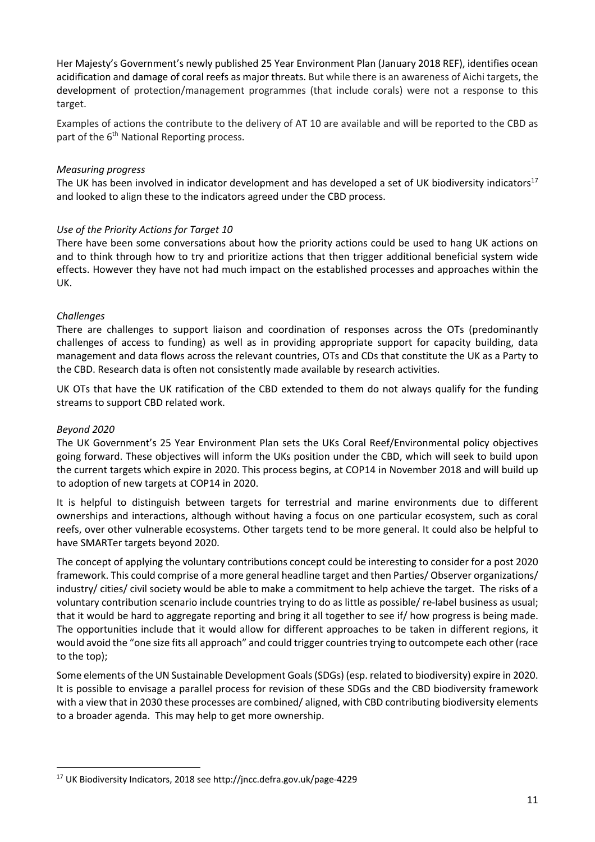Her Majesty's Government's newly published 25 Year Environment Plan (January 2018 REF), identifies ocean acidification and damage of coral reefs as major threats. But while there is an awareness of Aichi targets, the development of protection/management programmes (that include corals) were not a response to this target.

Examples of actions the contribute to the delivery of AT 10 are available and will be reported to the CBD as part of the 6<sup>th</sup> National Reporting process.

#### *Measuring progress*

The UK has been involved in indicator development and has developed a set of UK biodiversity indicators<sup>17</sup> and looked to align these to the indicators agreed under the CBD process.

#### *Use of the Priority Actions for Target 10*

There have been some conversations about how the priority actions could be used to hang UK actions on and to think through how to try and prioritize actions that then trigger additional beneficial system wide effects. However they have not had much impact on the established processes and approaches within the UK.

#### *Challenges*

There are challenges to support liaison and coordination of responses across the OTs (predominantly challenges of access to funding) as well as in providing appropriate support for capacity building, data management and data flows across the relevant countries, OTs and CDs that constitute the UK as a Party to the CBD. Research data is often not consistently made available by research activities.

UK OTs that have the UK ratification of the CBD extended to them do not always qualify for the funding streams to support CBD related work.

#### *Beyond 2020*

The UK Government's 25 Year Environment Plan sets the UKs Coral Reef/Environmental policy objectives going forward. These objectives will inform the UKs position under the CBD, which will seek to build upon the current targets which expire in 2020. This process begins, at COP14 in November 2018 and will build up to adoption of new targets at COP14 in 2020.

It is helpful to distinguish between targets for terrestrial and marine environments due to different ownerships and interactions, although without having a focus on one particular ecosystem, such as coral reefs, over other vulnerable ecosystems. Other targets tend to be more general. It could also be helpful to have SMARTer targets beyond 2020.

The concept of applying the voluntary contributions concept could be interesting to consider for a post 2020 framework. This could comprise of a more general headline target and then Parties/ Observer organizations/ industry/ cities/ civil society would be able to make a commitment to help achieve the target. The risks of a voluntary contribution scenario include countries trying to do as little as possible/ re-label business as usual; that it would be hard to aggregate reporting and bring it all together to see if/ how progress is being made. The opportunities include that it would allow for different approaches to be taken in different regions, it would avoid the "one size fits all approach" and could trigger countries trying to outcompete each other (race to the top);

Some elements of the UN Sustainable Development Goals (SDGs) (esp. related to biodiversity) expire in 2020. It is possible to envisage a parallel process for revision of these SDGs and the CBD biodiversity framework with a view that in 2030 these processes are combined/ aligned, with CBD contributing biodiversity elements to a broader agenda. This may help to get more ownership.

 

<sup>17</sup> UK Biodiversity Indicators, 2018 see http://jncc.defra.gov.uk/page-4229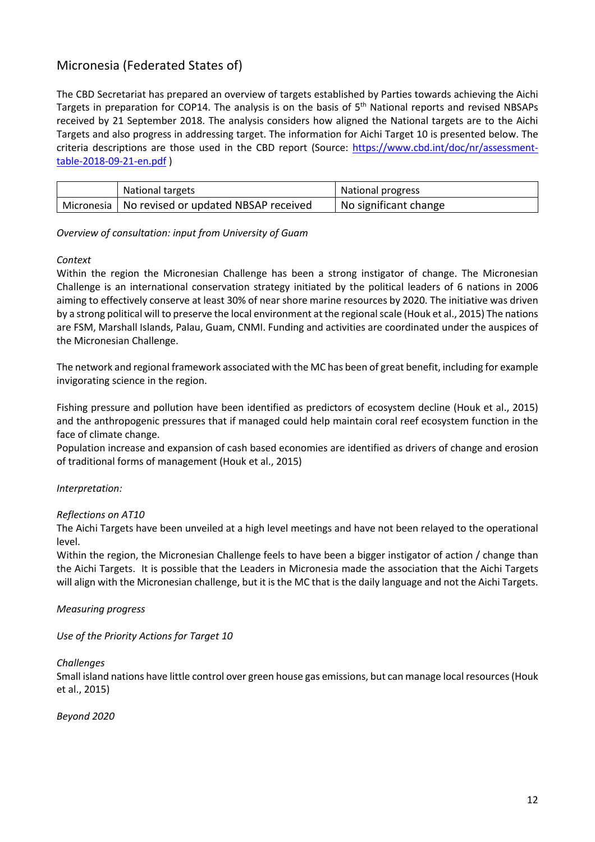# Micronesia (Federated States of)

The CBD Secretariat has prepared an overview of targets established by Parties towards achieving the Aichi Targets in preparation for COP14. The analysis is on the basis of 5<sup>th</sup> National reports and revised NBSAPs received by 21 September 2018. The analysis considers how aligned the National targets are to the Aichi Targets and also progress in addressing target. The information for Aichi Target 10 is presented below. The criteria descriptions are those used in the CBD report (Source: https://www.cbd.int/doc/nr/assessmenttable-2018-09-21-en.pdf )

| National targets                                  | National progress     |
|---------------------------------------------------|-----------------------|
| Micronesia   No revised or updated NBSAP received | No significant change |

#### *Overview of consultation: input from University of Guam*

#### *Context*

Within the region the Micronesian Challenge has been a strong instigator of change. The Micronesian Challenge is an international conservation strategy initiated by the political leaders of 6 nations in 2006 aiming to effectively conserve at least 30% of near shore marine resources by 2020. The initiative was driven by a strong political will to preserve the local environment at the regional scale (Houk et al., 2015) The nations are FSM, Marshall Islands, Palau, Guam, CNMI. Funding and activities are coordinated under the auspices of the Micronesian Challenge.

The network and regional framework associated with the MC has been of great benefit, including for example invigorating science in the region.

Fishing pressure and pollution have been identified as predictors of ecosystem decline (Houk et al., 2015) and the anthropogenic pressures that if managed could help maintain coral reef ecosystem function in the face of climate change.

Population increase and expansion of cash based economies are identified as drivers of change and erosion of traditional forms of management (Houk et al., 2015)

#### *Interpretation:*

#### *Reflections on AT10*

The Aichi Targets have been unveiled at a high level meetings and have not been relayed to the operational level.

Within the region, the Micronesian Challenge feels to have been a bigger instigator of action / change than the Aichi Targets. It is possible that the Leaders in Micronesia made the association that the Aichi Targets will align with the Micronesian challenge, but it is the MC that is the daily language and not the Aichi Targets.

#### *Measuring progress*

*Use of the Priority Actions for Target 10*

#### *Challenges*

Small island nations have little control over green house gas emissions, but can manage local resources (Houk et al., 2015)

*Beyond 2020*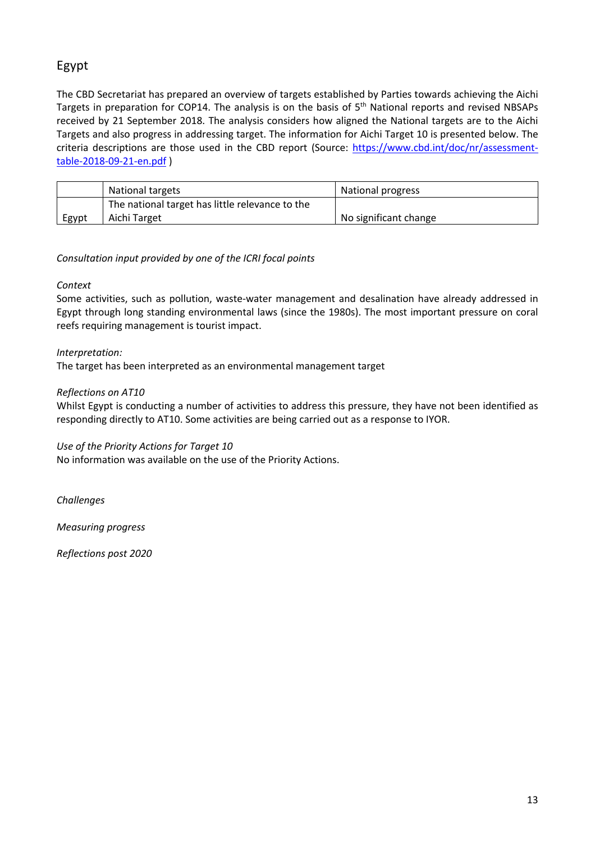# Egypt

The CBD Secretariat has prepared an overview of targets established by Parties towards achieving the Aichi Targets in preparation for COP14. The analysis is on the basis of 5<sup>th</sup> National reports and revised NBSAPs received by 21 September 2018. The analysis considers how aligned the National targets are to the Aichi Targets and also progress in addressing target. The information for Aichi Target 10 is presented below. The criteria descriptions are those used in the CBD report (Source: https://www.cbd.int/doc/nr/assessmenttable-2018-09-21-en.pdf )

|       | National targets                                | National progress     |
|-------|-------------------------------------------------|-----------------------|
|       | The national target has little relevance to the |                       |
| Egypt | Aichi Target                                    | No significant change |

## *Consultation input provided by one of the ICRI focal points*

## *Context*

Some activities, such as pollution, waste-water management and desalination have already addressed in Egypt through long standing environmental laws (since the 1980s). The most important pressure on coral reefs requiring management is tourist impact.

## *Interpretation:*

The target has been interpreted as an environmental management target

## *Reflections on AT10*

Whilst Egypt is conducting a number of activities to address this pressure, they have not been identified as responding directly to AT10. Some activities are being carried out as a response to IYOR.

#### *Use of the Priority Actions for Target 10*

No information was available on the use of the Priority Actions.

*Challenges*

*Measuring progress*

*Reflections post 2020*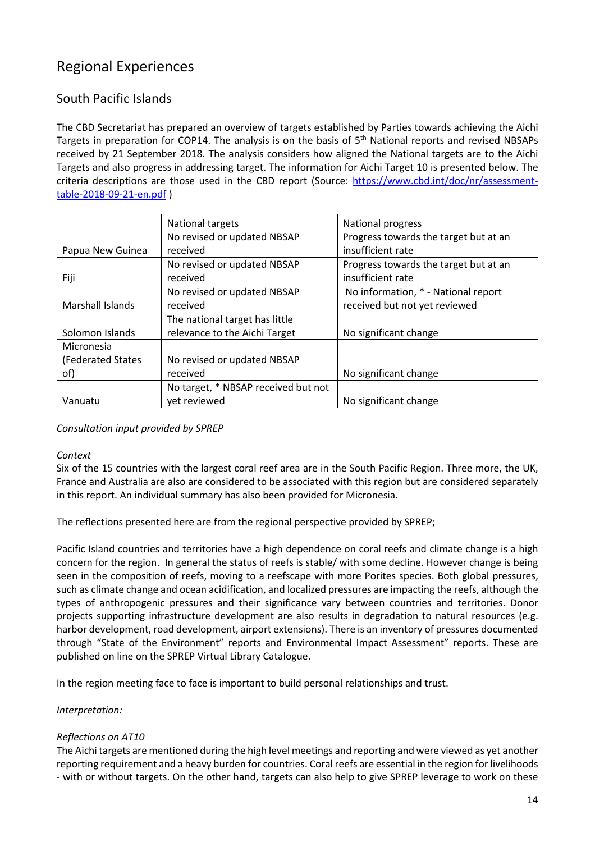# Regional Experiences

# South Pacific Islands

The CBD Secretariat has prepared an overview of targets established by Parties towards achieving the Aichi Targets in preparation for COP14. The analysis is on the basis of 5<sup>th</sup> National reports and revised NBSAPs received by 21 September 2018. The analysis considers how aligned the National targets are to the Aichi Targets and also progress in addressing target. The information for Aichi Target 10 is presented below. The criteria descriptions are those used in the CBD report (Source: https://www.cbd.int/doc/nr/assessmenttable-2018-09-21-en.pdf )

|                    | National targets                    | <b>National progress</b>              |
|--------------------|-------------------------------------|---------------------------------------|
|                    | No revised or updated NBSAP         | Progress towards the target but at an |
| Papua New Guinea   | received                            | insufficient rate                     |
|                    | No revised or updated NBSAP         | Progress towards the target but at an |
| Fiji               | received                            | insufficient rate                     |
|                    | No revised or updated NBSAP         | No information, * - National report   |
| Marshall Islands   | received                            | received but not yet reviewed         |
|                    | The national target has little      |                                       |
| Solomon Islands    | relevance to the Aichi Target       | No significant change                 |
| Micronesia         |                                     |                                       |
| (Federated States) | No revised or updated NBSAP         |                                       |
| of)                | received                            | No significant change                 |
|                    | No target, * NBSAP received but not |                                       |
| Vanuatu            | yet reviewed                        | No significant change                 |

#### *Consultation input provided by SPREP*

#### *Context*

Six of the 15 countries with the largest coral reef area are in the South Pacific Region. Three more, the UK, France and Australia are also are considered to be associated with this region but are considered separately in this report. An individual summary has also been provided for Micronesia.

The reflections presented here are from the regional perspective provided by SPREP;

Pacific Island countries and territories have a high dependence on coral reefs and climate change is a high concern for the region. In general the status of reefs is stable/ with some decline. However change is being seen in the composition of reefs, moving to a reefscape with more Porites species. Both global pressures, such as climate change and ocean acidification, and localized pressures are impacting the reefs, although the types of anthropogenic pressures and their significance vary between countries and territories. Donor projects supporting infrastructure development are also results in degradation to natural resources (e.g. harbor development, road development, airport extensions). There is an inventory of pressures documented through "State of the Environment" reports and Environmental Impact Assessment" reports. These are published on line on the SPREP Virtual Library Catalogue.

In the region meeting face to face is important to build personal relationships and trust.

#### *Interpretation:*

#### *Reflections on AT10*

The Aichi targets are mentioned during the high level meetings and reporting and were viewed as yet another reporting requirement and a heavy burden for countries. Coral reefs are essential in the region for livelihoods - with or without targets. On the other hand, targets can also help to give SPREP leverage to work on these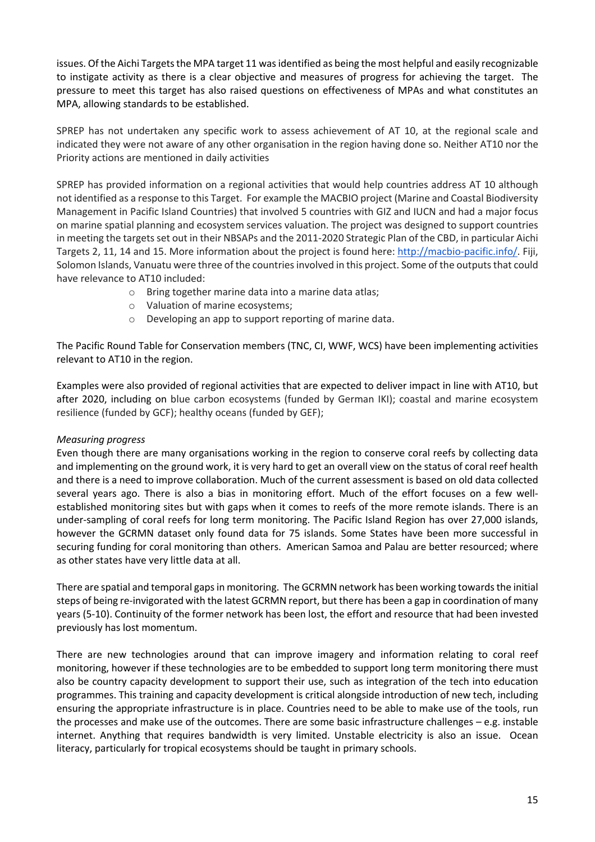issues. Of the Aichi Targets the MPA target 11 was identified as being the most helpful and easily recognizable to instigate activity as there is a clear objective and measures of progress for achieving the target. The pressure to meet this target has also raised questions on effectiveness of MPAs and what constitutes an MPA, allowing standards to be established.

SPREP has not undertaken any specific work to assess achievement of AT 10, at the regional scale and indicated they were not aware of any other organisation in the region having done so. Neither AT10 nor the Priority actions are mentioned in daily activities

SPREP has provided information on a regional activities that would help countries address AT 10 although not identified as a response to this Target. For example the MACBIO project (Marine and Coastal Biodiversity Management in Pacific Island Countries) that involved 5 countries with GIZ and IUCN and had a major focus on marine spatial planning and ecosystem services valuation. The project was designed to support countries in meeting the targets set out in their NBSAPs and the 2011-2020 Strategic Plan of the CBD, in particular Aichi Targets 2, 11, 14 and 15. More information about the project is found here: http://macbio-pacific.info/. Fiji, Solomon Islands, Vanuatu were three of the countries involved in this project. Some of the outputs that could have relevance to AT10 included:

- o Bring together marine data into a marine data atlas;
- o Valuation of marine ecosystems;
- o Developing an app to support reporting of marine data.

The Pacific Round Table for Conservation members (TNC, CI, WWF, WCS) have been implementing activities relevant to AT10 in the region.

Examples were also provided of regional activities that are expected to deliver impact in line with AT10, but after 2020, including on blue carbon ecosystems (funded by German IKI); coastal and marine ecosystem resilience (funded by GCF); healthy oceans (funded by GEF);

#### *Measuring progress*

Even though there are many organisations working in the region to conserve coral reefs by collecting data and implementing on the ground work, it is very hard to get an overall view on the status of coral reef health and there is a need to improve collaboration. Much of the current assessment is based on old data collected several years ago. There is also a bias in monitoring effort. Much of the effort focuses on a few wellestablished monitoring sites but with gaps when it comes to reefs of the more remote islands. There is an under-sampling of coral reefs for long term monitoring. The Pacific Island Region has over 27,000 islands, however the GCRMN dataset only found data for 75 islands. Some States have been more successful in securing funding for coral monitoring than others. American Samoa and Palau are better resourced; where as other states have very little data at all.

There are spatial and temporal gaps in monitoring. The GCRMN network has been working towards the initial steps of being re-invigorated with the latest GCRMN report, but there has been a gap in coordination of many years (5-10). Continuity of the former network has been lost, the effort and resource that had been invested previously has lost momentum.

There are new technologies around that can improve imagery and information relating to coral reef monitoring, however if these technologies are to be embedded to support long term monitoring there must also be country capacity development to support their use, such as integration of the tech into education programmes. This training and capacity development is critical alongside introduction of new tech, including ensuring the appropriate infrastructure is in place. Countries need to be able to make use of the tools, run the processes and make use of the outcomes. There are some basic infrastructure challenges  $-e.g.$  instable internet. Anything that requires bandwidth is very limited. Unstable electricity is also an issue. Ocean literacy, particularly for tropical ecosystems should be taught in primary schools.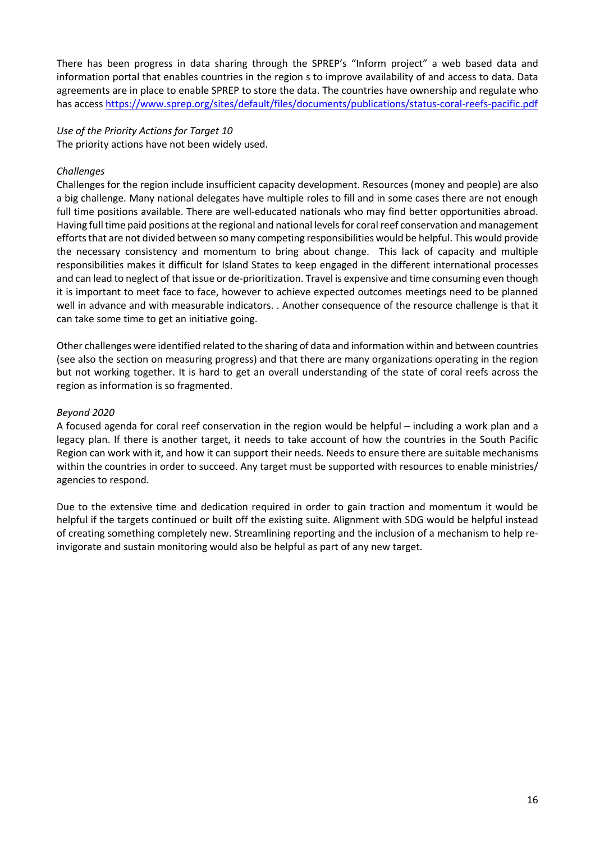There has been progress in data sharing through the SPREP's "Inform project" a web based data and information portal that enables countries in the region s to improve availability of and access to data. Data agreements are in place to enable SPREP to store the data. The countries have ownership and regulate who has access https://www.sprep.org/sites/default/files/documents/publications/status-coral-reefs-pacific.pdf

#### *Use of the Priority Actions for Target 10* The priority actions have not been widely used.

#### *Challenges*

Challenges for the region include insufficient capacity development. Resources (money and people) are also a big challenge. Many national delegates have multiple roles to fill and in some cases there are not enough full time positions available. There are well-educated nationals who may find better opportunities abroad. Having full time paid positions at the regional and national levels for coral reef conservation and management efforts that are not divided between so many competing responsibilities would be helpful. This would provide the necessary consistency and momentum to bring about change. This lack of capacity and multiple responsibilities makes it difficult for Island States to keep engaged in the different international processes and can lead to neglect of that issue or de-prioritization. Travel is expensive and time consuming even though it is important to meet face to face, however to achieve expected outcomes meetings need to be planned well in advance and with measurable indicators. . Another consequence of the resource challenge is that it can take some time to get an initiative going.

Other challenges were identified related to the sharing of data and information within and between countries (see also the section on measuring progress) and that there are many organizations operating in the region but not working together. It is hard to get an overall understanding of the state of coral reefs across the region as information is so fragmented.

#### *Beyond 2020*

A focused agenda for coral reef conservation in the region would be helpful – including a work plan and a legacy plan. If there is another target, it needs to take account of how the countries in the South Pacific Region can work with it, and how it can support their needs. Needs to ensure there are suitable mechanisms within the countries in order to succeed. Any target must be supported with resources to enable ministries/ agencies to respond.

Due to the extensive time and dedication required in order to gain traction and momentum it would be helpful if the targets continued or built off the existing suite. Alignment with SDG would be helpful instead of creating something completely new. Streamlining reporting and the inclusion of a mechanism to help reinvigorate and sustain monitoring would also be helpful as part of any new target.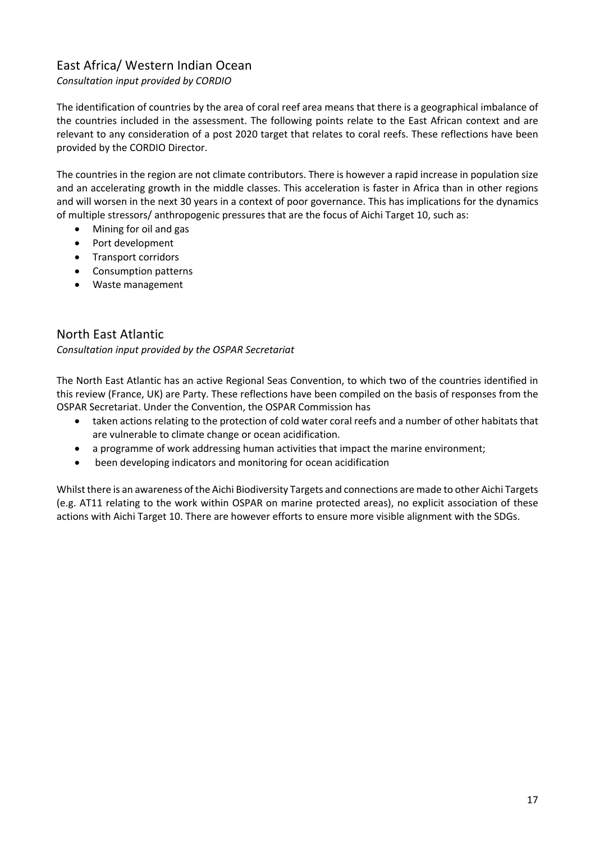# East Africa/ Western Indian Ocean

*Consultation input provided by CORDIO*

The identification of countries by the area of coral reef area means that there is a geographical imbalance of the countries included in the assessment. The following points relate to the East African context and are relevant to any consideration of a post 2020 target that relates to coral reefs. These reflections have been provided by the CORDIO Director.

The countries in the region are not climate contributors. There is however a rapid increase in population size and an accelerating growth in the middle classes. This acceleration is faster in Africa than in other regions and will worsen in the next 30 years in a context of poor governance. This has implications for the dynamics of multiple stressors/ anthropogenic pressures that are the focus of Aichi Target 10, such as:

- Mining for oil and gas
- Port development
- Transport corridors
- Consumption patterns
- Waste management

# North East Atlantic

*Consultation input provided by the OSPAR Secretariat*

The North East Atlantic has an active Regional Seas Convention, to which two of the countries identified in this review (France, UK) are Party. These reflections have been compiled on the basis of responses from the OSPAR Secretariat. Under the Convention, the OSPAR Commission has

- taken actions relating to the protection of cold water coral reefs and a number of other habitats that are vulnerable to climate change or ocean acidification.
- a programme of work addressing human activities that impact the marine environment;
- been developing indicators and monitoring for ocean acidification

Whilst there is an awareness of the Aichi Biodiversity Targets and connections are made to other Aichi Targets (e.g. AT11 relating to the work within OSPAR on marine protected areas), no explicit association of these actions with Aichi Target 10. There are however efforts to ensure more visible alignment with the SDGs.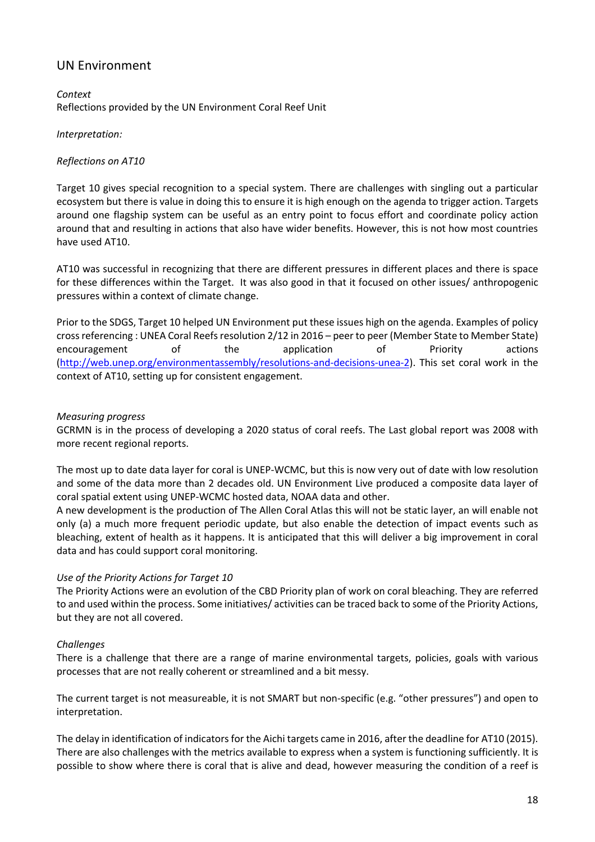# UN Environment

*Context* Reflections provided by the UN Environment Coral Reef Unit

#### *Interpretation:*

#### *Reflections on AT10*

Target 10 gives special recognition to a special system. There are challenges with singling out a particular ecosystem but there is value in doing this to ensure it is high enough on the agenda to trigger action. Targets around one flagship system can be useful as an entry point to focus effort and coordinate policy action around that and resulting in actions that also have wider benefits. However, this is not how most countries have used AT10.

AT10 was successful in recognizing that there are different pressures in different places and there is space for these differences within the Target. It was also good in that it focused on other issues/ anthropogenic pressures within a context of climate change.

Prior to the SDGS, Target 10 helped UN Environment put these issues high on the agenda. Examples of policy cross referencing : UNEA Coral Reefs resolution 2/12 in 2016 – peer to peer (Member State to Member State) encouragement of the application of Priority actions (http://web.unep.org/environmentassembly/resolutions-and-decisions-unea-2). This set coral work in the context of AT10, setting up for consistent engagement.

#### *Measuring progress*

GCRMN is in the process of developing a 2020 status of coral reefs. The Last global report was 2008 with more recent regional reports.

The most up to date data layer for coral is UNEP-WCMC, but this is now very out of date with low resolution and some of the data more than 2 decades old. UN Environment Live produced a composite data layer of coral spatial extent using UNEP-WCMC hosted data, NOAA data and other.

A new development is the production of The Allen Coral Atlas this will not be static layer, an will enable not only (a) a much more frequent periodic update, but also enable the detection of impact events such as bleaching, extent of health as it happens. It is anticipated that this will deliver a big improvement in coral data and has could support coral monitoring.

#### *Use of the Priority Actions for Target 10*

The Priority Actions were an evolution of the CBD Priority plan of work on coral bleaching. They are referred to and used within the process. Some initiatives/ activities can be traced back to some of the Priority Actions, but they are not all covered.

#### *Challenges*

There is a challenge that there are a range of marine environmental targets, policies, goals with various processes that are not really coherent or streamlined and a bit messy.

The current target is not measureable, it is not SMART but non-specific (e.g. "other pressures") and open to interpretation.

The delay in identification of indicators for the Aichi targets came in 2016, after the deadline for AT10 (2015). There are also challenges with the metrics available to express when a system is functioning sufficiently. It is possible to show where there is coral that is alive and dead, however measuring the condition of a reef is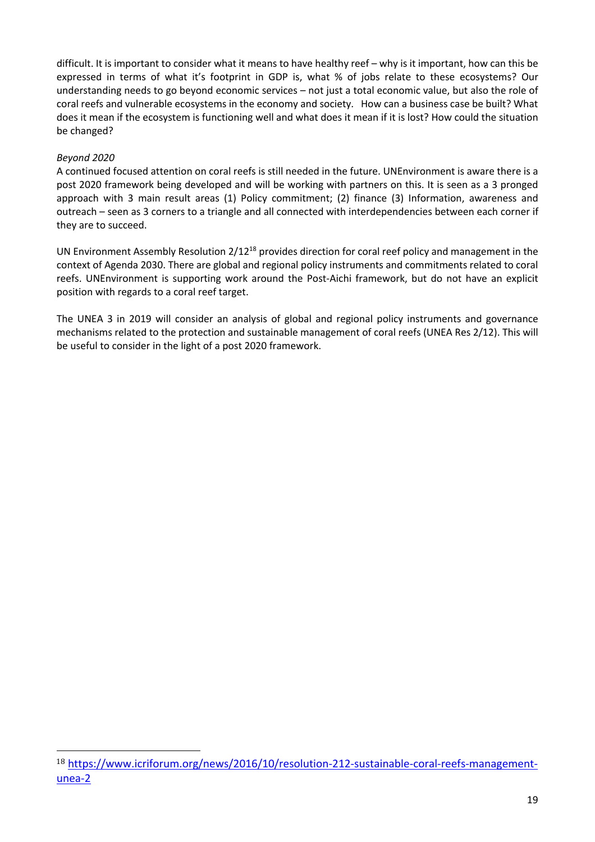difficult. It is important to consider what it means to have healthy reef – why is it important, how can this be expressed in terms of what it's footprint in GDP is, what % of jobs relate to these ecosystems? Our understanding needs to go beyond economic services – not just a total economic value, but also the role of coral reefs and vulnerable ecosystems in the economy and society. How can a business case be built? What does it mean if the ecosystem is functioning well and what does it mean if it is lost? How could the situation be changed?

#### *Beyond 2020*

 

A continued focused attention on coral reefs is still needed in the future. UNEnvironment is aware there is a post 2020 framework being developed and will be working with partners on this. It is seen as a 3 pronged approach with 3 main result areas (1) Policy commitment; (2) finance (3) Information, awareness and outreach – seen as 3 corners to a triangle and all connected with interdependencies between each corner if they are to succeed.

UN Environment Assembly Resolution 2/1218 provides direction for coral reef policy and management in the context of Agenda 2030. There are global and regional policy instruments and commitments related to coral reefs. UNEnvironment is supporting work around the Post-Aichi framework, but do not have an explicit position with regards to a coral reef target.

The UNEA 3 in 2019 will consider an analysis of global and regional policy instruments and governance mechanisms related to the protection and sustainable management of coral reefs (UNEA Res 2/12). This will be useful to consider in the light of a post 2020 framework.

<sup>18</sup> https://www.icriforum.org/news/2016/10/resolution-212-sustainable-coral-reefs-managementunea-2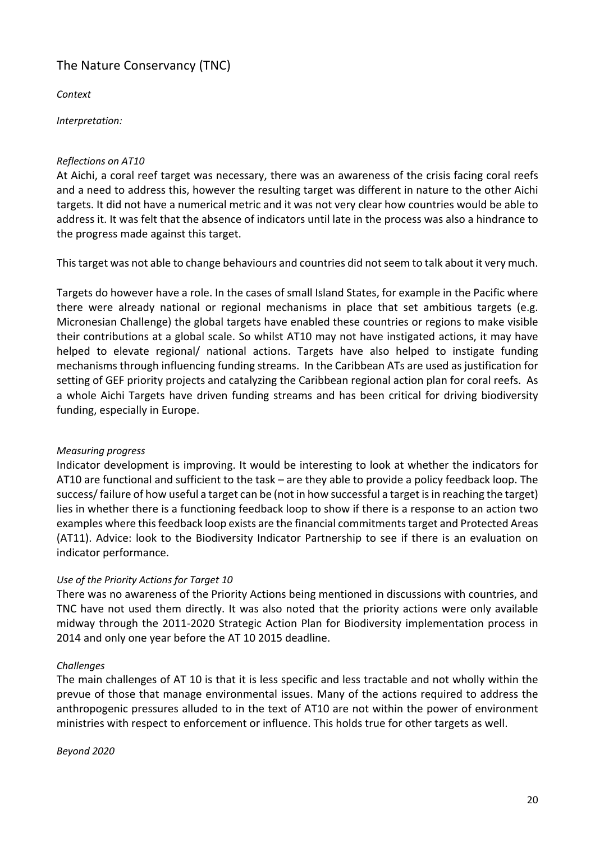# The Nature Conservancy (TNC)

*Context*

*Interpretation:*

## *Reflections on AT10*

At Aichi, a coral reef target was necessary, there was an awareness of the crisis facing coral reefs and a need to address this, however the resulting target was different in nature to the other Aichi targets. It did not have a numerical metric and it was not very clear how countries would be able to address it. It was felt that the absence of indicators until late in the process was also a hindrance to the progress made against this target.

Thistarget was not able to change behaviours and countries did not seem to talk about it very much.

Targets do however have a role. In the cases of small Island States, for example in the Pacific where there were already national or regional mechanisms in place that set ambitious targets (e.g. Micronesian Challenge) the global targets have enabled these countries or regions to make visible their contributions at a global scale. So whilst AT10 may not have instigated actions, it may have helped to elevate regional/ national actions. Targets have also helped to instigate funding mechanisms through influencing funding streams. In the Caribbean ATs are used as justification for setting of GEF priority projects and catalyzing the Caribbean regional action plan for coral reefs. As a whole Aichi Targets have driven funding streams and has been critical for driving biodiversity funding, especially in Europe.

## *Measuring progress*

Indicator development is improving. It would be interesting to look at whether the indicators for AT10 are functional and sufficient to the task – are they able to provide a policy feedback loop. The success/ failure of how useful a target can be (not in how successful a target is in reaching the target) lies in whether there is a functioning feedback loop to show if there is a response to an action two examples where this feedback loop exists are the financial commitments target and Protected Areas (AT11). Advice: look to the Biodiversity Indicator Partnership to see if there is an evaluation on indicator performance.

## *Use of the Priority Actions for Target 10*

There was no awareness of the Priority Actions being mentioned in discussions with countries, and TNC have not used them directly. It was also noted that the priority actions were only available midway through the 2011-2020 Strategic Action Plan for Biodiversity implementation process in 2014 and only one year before the AT 10 2015 deadline.

## *Challenges*

The main challenges of AT 10 is that it is less specific and less tractable and not wholly within the prevue of those that manage environmental issues. Many of the actions required to address the anthropogenic pressures alluded to in the text of AT10 are not within the power of environment ministries with respect to enforcement or influence. This holds true for other targets as well.

#### *Beyond 2020*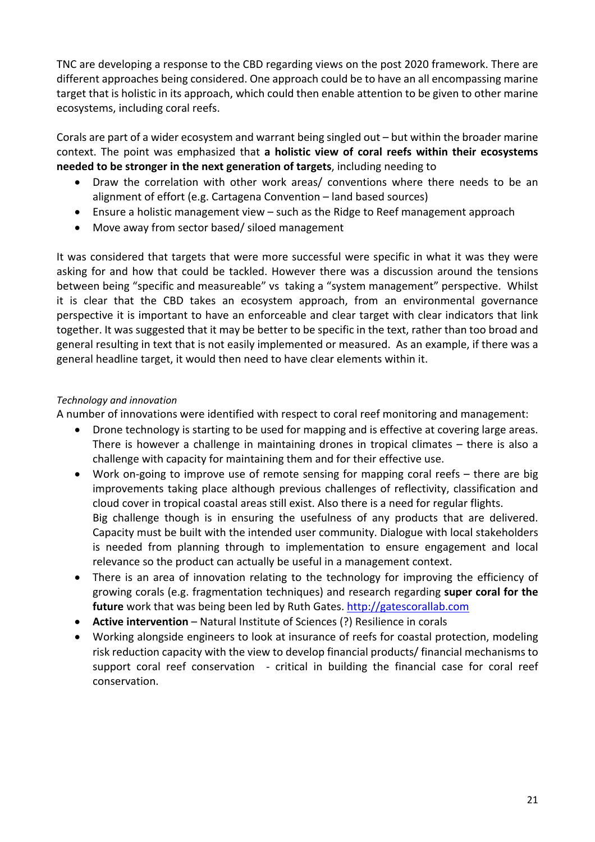TNC are developing a response to the CBD regarding views on the post 2020 framework. There are different approaches being considered. One approach could be to have an all encompassing marine target that is holistic in its approach, which could then enable attention to be given to other marine ecosystems, including coral reefs.

Corals are part of a wider ecosystem and warrant being singled out – but within the broader marine context. The point was emphasized that **a holistic view of coral reefs within their ecosystems needed to be stronger in the next generation of targets**, including needing to

- Draw the correlation with other work areas/ conventions where there needs to be an alignment of effort (e.g. Cartagena Convention – land based sources)
- Ensure a holistic management view such as the Ridge to Reef management approach
- Move away from sector based/ siloed management

It was considered that targets that were more successful were specific in what it was they were asking for and how that could be tackled. However there was a discussion around the tensions between being "specific and measureable" vs taking a "system management" perspective. Whilst it is clear that the CBD takes an ecosystem approach, from an environmental governance perspective it is important to have an enforceable and clear target with clear indicators that link together. It was suggested that it may be better to be specific in the text, rather than too broad and general resulting in text that is not easily implemented or measured. As an example, if there was a general headline target, it would then need to have clear elements within it.

## *Technology and innovation*

A number of innovations were identified with respect to coral reef monitoring and management:

- Drone technology is starting to be used for mapping and is effective at covering large areas. There is however a challenge in maintaining drones in tropical climates – there is also a challenge with capacity for maintaining them and for their effective use.
- Work on-going to improve use of remote sensing for mapping coral reefs there are big improvements taking place although previous challenges of reflectivity, classification and cloud cover in tropical coastal areas still exist. Also there is a need for regular flights. Big challenge though is in ensuring the usefulness of any products that are delivered. Capacity must be built with the intended user community. Dialogue with local stakeholders is needed from planning through to implementation to ensure engagement and local relevance so the product can actually be useful in a management context.
- There is an area of innovation relating to the technology for improving the efficiency of growing corals (e.g. fragmentation techniques) and research regarding **super coral for the future** work that was being been led by Ruth Gates. http://gatescorallab.com
- **Active intervention** Natural Institute of Sciences (?) Resilience in corals
- Working alongside engineers to look at insurance of reefs for coastal protection, modeling risk reduction capacity with the view to develop financial products/ financial mechanisms to support coral reef conservation - critical in building the financial case for coral reef conservation.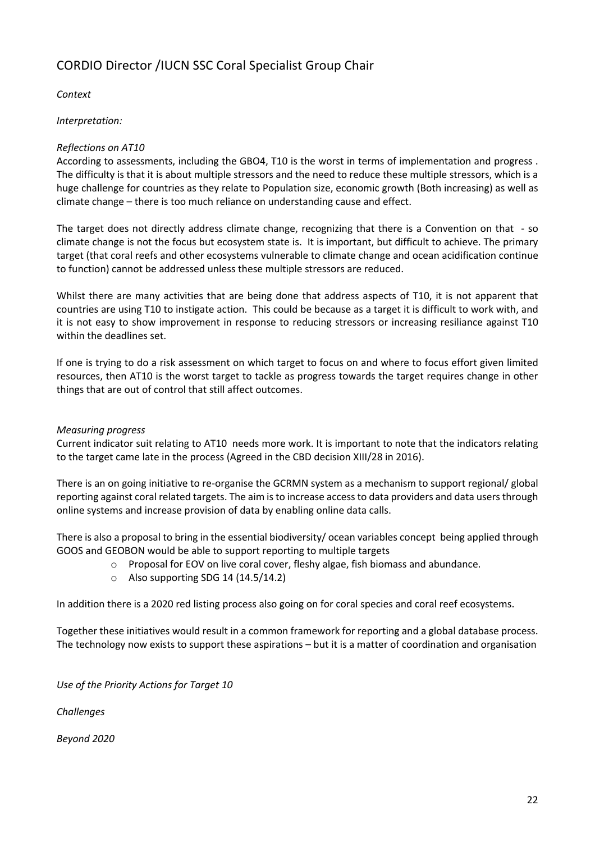# CORDIO Director /IUCN SSC Coral Specialist Group Chair

## *Context*

*Interpretation:*

## *Reflections on AT10*

According to assessments, including the GBO4, T10 is the worst in terms of implementation and progress . The difficulty is that it is about multiple stressors and the need to reduce these multiple stressors, which is a huge challenge for countries as they relate to Population size, economic growth (Both increasing) as well as climate change – there is too much reliance on understanding cause and effect.

The target does not directly address climate change, recognizing that there is a Convention on that - so climate change is not the focus but ecosystem state is. It is important, but difficult to achieve. The primary target (that coral reefs and other ecosystems vulnerable to climate change and ocean acidification continue to function) cannot be addressed unless these multiple stressors are reduced.

Whilst there are many activities that are being done that address aspects of T10, it is not apparent that countries are using T10 to instigate action. This could be because as a target it is difficult to work with, and it is not easy to show improvement in response to reducing stressors or increasing resiliance against T10 within the deadlines set.

If one is trying to do a risk assessment on which target to focus on and where to focus effort given limited resources, then AT10 is the worst target to tackle as progress towards the target requires change in other things that are out of control that still affect outcomes.

#### *Measuring progress*

Current indicator suit relating to AT10 needs more work. It is important to note that the indicators relating to the target came late in the process (Agreed in the CBD decision XIII/28 in 2016).

There is an on going initiative to re-organise the GCRMN system as a mechanism to support regional/ global reporting against coral related targets. The aim is to increase access to data providers and data users through online systems and increase provision of data by enabling online data calls.

There is also a proposal to bring in the essential biodiversity/ ocean variables concept being applied through GOOS and GEOBON would be able to support reporting to multiple targets

- o Proposal for EOV on live coral cover, fleshy algae, fish biomass and abundance.
- $\circ$  Also supporting SDG 14 (14.5/14.2)

In addition there is a 2020 red listing process also going on for coral species and coral reef ecosystems.

Together these initiatives would result in a common framework for reporting and a global database process. The technology now exists to support these aspirations – but it is a matter of coordination and organisation

*Use of the Priority Actions for Target 10*

*Challenges*

*Beyond 2020*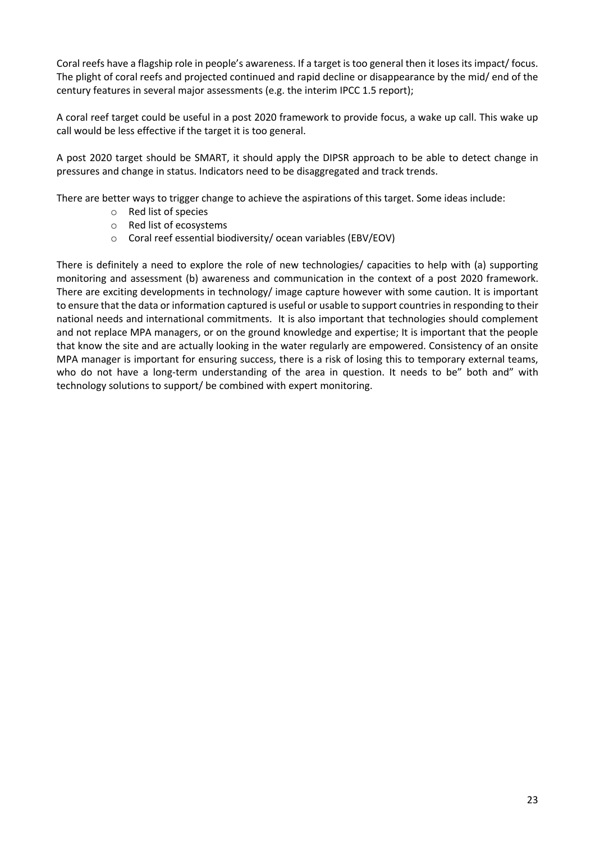Coral reefs have a flagship role in people's awareness. If a target is too general then it loses its impact/ focus. The plight of coral reefs and projected continued and rapid decline or disappearance by the mid/ end of the century features in several major assessments (e.g. the interim IPCC 1.5 report);

A coral reef target could be useful in a post 2020 framework to provide focus, a wake up call. This wake up call would be less effective if the target it is too general.

A post 2020 target should be SMART, it should apply the DIPSR approach to be able to detect change in pressures and change in status. Indicators need to be disaggregated and track trends.

There are better ways to trigger change to achieve the aspirations of this target. Some ideas include:

- o Red list of species
- o Red list of ecosystems
- o Coral reef essential biodiversity/ ocean variables (EBV/EOV)

There is definitely a need to explore the role of new technologies/ capacities to help with (a) supporting monitoring and assessment (b) awareness and communication in the context of a post 2020 framework. There are exciting developments in technology/ image capture however with some caution. It is important to ensure that the data or information captured is useful or usable to support countries in responding to their national needs and international commitments. It is also important that technologies should complement and not replace MPA managers, or on the ground knowledge and expertise; It is important that the people that know the site and are actually looking in the water regularly are empowered. Consistency of an onsite MPA manager is important for ensuring success, there is a risk of losing this to temporary external teams, who do not have a long-term understanding of the area in question. It needs to be" both and" with technology solutions to support/ be combined with expert monitoring.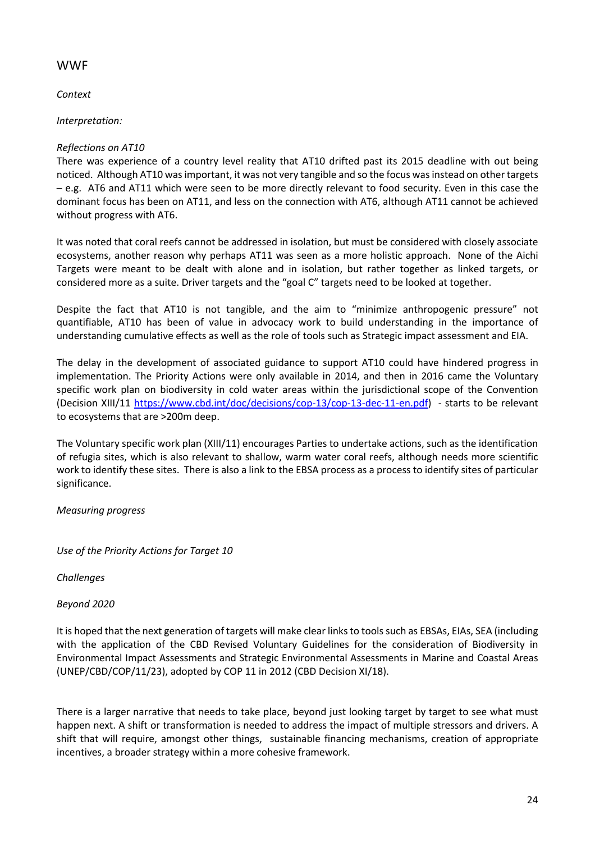# WWF

*Context*

*Interpretation:*

## *Reflections on AT10*

There was experience of a country level reality that AT10 drifted past its 2015 deadline with out being noticed. Although AT10 was important, it was not very tangible and so the focus was instead on other targets – e.g. AT6 and AT11 which were seen to be more directly relevant to food security. Even in this case the dominant focus has been on AT11, and less on the connection with AT6, although AT11 cannot be achieved without progress with AT6.

It was noted that coral reefs cannot be addressed in isolation, but must be considered with closely associate ecosystems, another reason why perhaps AT11 was seen as a more holistic approach. None of the Aichi Targets were meant to be dealt with alone and in isolation, but rather together as linked targets, or considered more as a suite. Driver targets and the "goal C" targets need to be looked at together.

Despite the fact that AT10 is not tangible, and the aim to "minimize anthropogenic pressure" not quantifiable, AT10 has been of value in advocacy work to build understanding in the importance of understanding cumulative effects as well as the role of tools such as Strategic impact assessment and EIA.

The delay in the development of associated guidance to support AT10 could have hindered progress in implementation. The Priority Actions were only available in 2014, and then in 2016 came the Voluntary specific work plan on biodiversity in cold water areas within the jurisdictional scope of the Convention (Decision XIII/11 https://www.cbd.int/doc/decisions/cop-13/cop-13-dec-11-en.pdf) - starts to be relevant to ecosystems that are >200m deep.

The Voluntary specific work plan (XIII/11) encourages Parties to undertake actions, such as the identification of refugia sites, which is also relevant to shallow, warm water coral reefs, although needs more scientific work to identify these sites. There is also a link to the EBSA process as a process to identify sites of particular significance.

*Measuring progress*

*Use of the Priority Actions for Target 10*

*Challenges*

*Beyond 2020*

It is hoped that the next generation of targets will make clear links to tools such as EBSAs, EIAs, SEA (including with the application of the CBD Revised Voluntary Guidelines for the consideration of Biodiversity in Environmental Impact Assessments and Strategic Environmental Assessments in Marine and Coastal Areas (UNEP/CBD/COP/11/23), adopted by COP 11 in 2012 (CBD Decision XI/18).

There is a larger narrative that needs to take place, beyond just looking target by target to see what must happen next. A shift or transformation is needed to address the impact of multiple stressors and drivers. A shift that will require, amongst other things, sustainable financing mechanisms, creation of appropriate incentives, a broader strategy within a more cohesive framework.